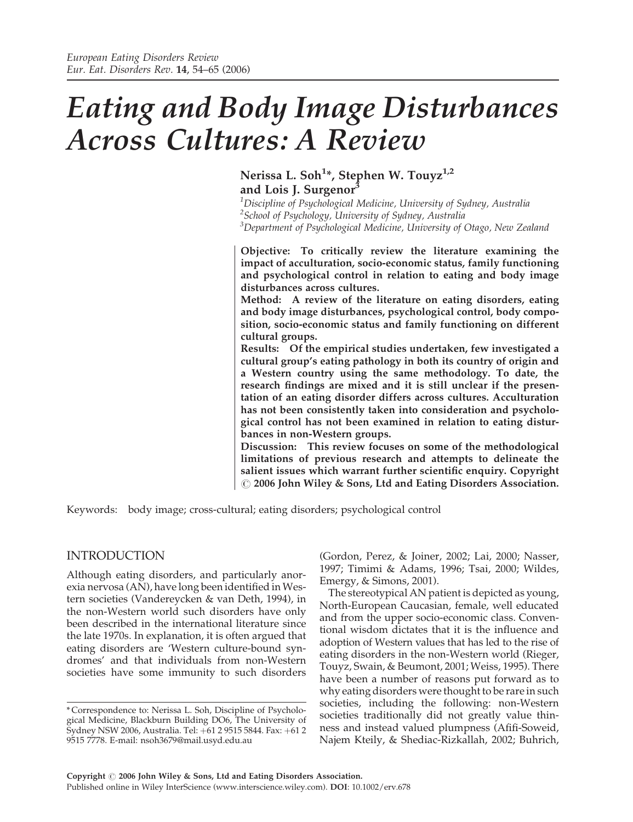# Eating and Body Image Disturbances Across Cultures: A Review

Nerissa L. Soh<sup>1</sup>\*, Stephen W. Touyz<sup>1,2</sup> and Lois J. Surgenor<sup>3</sup>

 $^1$ Discipline of Psychological Medicine, University of Sydney, Australia <sup>2</sup> School of Psychology, University of Sydney, Australia  ${}^{3}$ Department of Psychological Medicine, University of Otago, New Zealand

Objective: To critically review the literature examining the impact of acculturation, socio-economic status, family functioning and psychological control in relation to eating and body image disturbances across cultures.

Method: A review of the literature on eating disorders, eating and body image disturbances, psychological control, body composition, socio-economic status and family functioning on different cultural groups.

Results: Of the empirical studies undertaken, few investigated a cultural group's eating pathology in both its country of origin and a Western country using the same methodology. To date, the research findings are mixed and it is still unclear if the presentation of an eating disorder differs across cultures. Acculturation has not been consistently taken into consideration and psychological control has not been examined in relation to eating disturbances in non-Western groups.

Discussion: This review focuses on some of the methodological limitations of previous research and attempts to delineate the salient issues which warrant further scientific enquiry. Copyright  $\odot$  2006 John Wiley & Sons, Ltd and Eating Disorders Association.

Keywords: body image; cross-cultural; eating disorders; psychological control

## INTRODUCTION

Although eating disorders, and particularly anorexia nervosa (AN), have long been identified in Western societies (Vandereycken & van Deth, 1994), in the non-Western world such disorders have only been described in the international literature since the late 1970s. In explanation, it is often argued that eating disorders are 'Western culture-bound syndromes' and that individuals from non-Western societies have some immunity to such disorders (Gordon, Perez, & Joiner, 2002; Lai, 2000; Nasser, 1997; Timimi & Adams, 1996; Tsai, 2000; Wildes, Emergy, & Simons, 2001).

The stereotypical AN patient is depicted as young, North-European Caucasian, female, well educated and from the upper socio-economic class. Conventional wisdom dictates that it is the influence and adoption of Western values that has led to the rise of eating disorders in the non-Western world (Rieger, Touyz, Swain, & Beumont, 2001; Weiss, 1995). There have been a number of reasons put forward as to why eating disorders were thought to be rare in such societies, including the following: non-Western societies traditionally did not greatly value thinness and instead valued plumpness (Afifi-Soweid, Najem Kteily, & Shediac-Rizkallah, 2002; Buhrich,

<sup>\*</sup> Correspondence to: Nerissa L. Soh, Discipline of Psychological Medicine, Blackburn Building DO6, The University of Sydney NSW 2006, Australia. Tel: +61 2 9515 5844. Fax: +61 2 9515 7778. E-mail: nsoh3679@mail.usyd.edu.au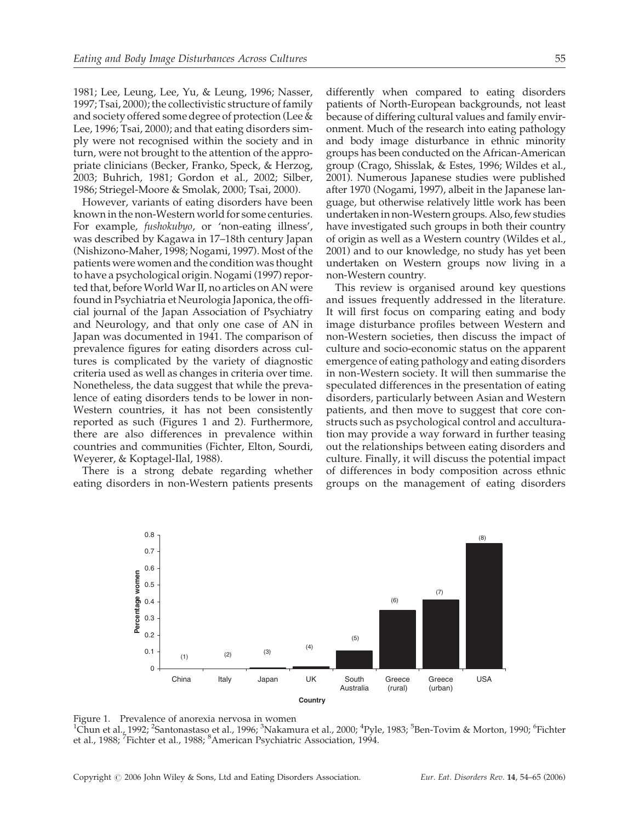1981; Lee, Leung, Lee, Yu, & Leung, 1996; Nasser, 1997; Tsai, 2000); the collectivistic structure of family and society offered some degree of protection (Lee & Lee, 1996; Tsai, 2000); and that eating disorders simply were not recognised within the society and in turn, were not brought to the attention of the appropriate clinicians (Becker, Franko, Speck, & Herzog, 2003; Buhrich, 1981; Gordon et al., 2002; Silber, 1986; Striegel-Moore & Smolak, 2000; Tsai, 2000).

However, variants of eating disorders have been known in the non-Western world for some centuries. For example, fushokubyo, or 'non-eating illness', was described by Kagawa in 17–18th century Japan (Nishizono-Maher, 1998; Nogami, 1997). Most of the patients were women and the condition was thought to have a psychological origin. Nogami (1997) reported that, before World War II, no articles on AN were found in Psychiatria et Neurologia Japonica, the official journal of the Japan Association of Psychiatry and Neurology, and that only one case of AN in Japan was documented in 1941. The comparison of prevalence figures for eating disorders across cultures is complicated by the variety of diagnostic criteria used as well as changes in criteria over time. Nonetheless, the data suggest that while the prevalence of eating disorders tends to be lower in non-Western countries, it has not been consistently reported as such (Figures 1 and 2). Furthermore, there are also differences in prevalence within countries and communities (Fichter, Elton, Sourdi, Weyerer, & Koptagel-Ilal, 1988).

There is a strong debate regarding whether eating disorders in non-Western patients presents

differently when compared to eating disorders patients of North-European backgrounds, not least because of differing cultural values and family environment. Much of the research into eating pathology and body image disturbance in ethnic minority groups has been conducted on the African-American group (Crago, Shisslak, & Estes, 1996; Wildes et al., 2001). Numerous Japanese studies were published after 1970 (Nogami, 1997), albeit in the Japanese language, but otherwise relatively little work has been undertaken in non-Western groups. Also, few studies have investigated such groups in both their country of origin as well as a Western country (Wildes et al., 2001) and to our knowledge, no study has yet been undertaken on Western groups now living in a non-Western country.

This review is organised around key questions and issues frequently addressed in the literature. It will first focus on comparing eating and body image disturbance profiles between Western and non-Western societies, then discuss the impact of culture and socio-economic status on the apparent emergence of eating pathology and eating disorders in non-Western society. It will then summarise the speculated differences in the presentation of eating disorders, particularly between Asian and Western patients, and then move to suggest that core constructs such as psychological control and acculturation may provide a way forward in further teasing out the relationships between eating disorders and culture. Finally, it will discuss the potential impact of differences in body composition across ethnic groups on the management of eating disorders



Figure 1. Prevalence of anorexia nervosa in women <sup>1</sup>Chun et al., 1992; <sup>2</sup>Santonastaso et al., 1996; <sup>3</sup>Nakamura et al., 2000; <sup>4</sup>Pyle, 1983; <sup>5</sup>Ben-Tovim & Morton, 1990; <sup>6</sup>Fichter et al., 1988; <sup>7</sup>Fichter et al., 1988; <sup>8</sup>American Psychiatric Association, 1994.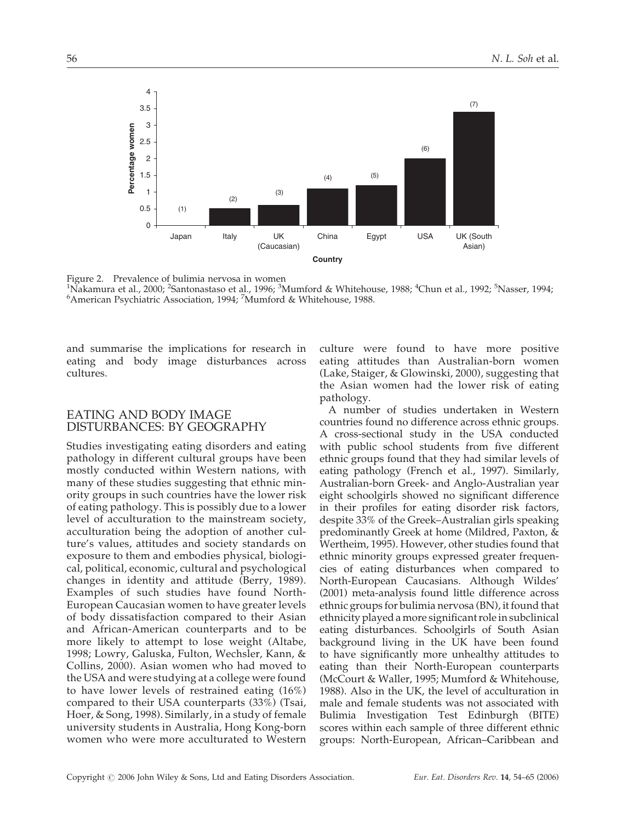

Figure 2. Prevalence of bulimia nervosa in women <sup>1</sup>Nakamura et al., 2000; <sup>2</sup>Santonastaso et al., 1996; <sup>3</sup>Mumford & Whitehouse, 1988; <sup>4</sup>Chun et al., 1992; <sup>5</sup>Nasser, 1994;<br><sup>6</sup>American Psychiatric Association, 1994; <sup>7</sup>Mumford & Whitehouse, 1988 American Psychiatric Association, 1994; <sup>7</sup>Mumford & Whitehouse, 1988.

and summarise the implications for research in eating and body image disturbances across cultures.

### EATING AND BODY IMAGE DISTURBANCES: BY GEOGRAPHY

Studies investigating eating disorders and eating pathology in different cultural groups have been mostly conducted within Western nations, with many of these studies suggesting that ethnic minority groups in such countries have the lower risk of eating pathology. This is possibly due to a lower level of acculturation to the mainstream society, acculturation being the adoption of another culture's values, attitudes and society standards on exposure to them and embodies physical, biological, political, economic, cultural and psychological changes in identity and attitude (Berry, 1989). Examples of such studies have found North-European Caucasian women to have greater levels of body dissatisfaction compared to their Asian and African-American counterparts and to be more likely to attempt to lose weight (Altabe, 1998; Lowry, Galuska, Fulton, Wechsler, Kann, & Collins, 2000). Asian women who had moved to the USA and were studying at a college were found to have lower levels of restrained eating (16%) compared to their USA counterparts (33%) (Tsai, Hoer, & Song, 1998). Similarly, in a study of female university students in Australia, Hong Kong-born women who were more acculturated to Western

culture were found to have more positive eating attitudes than Australian-born women (Lake, Staiger, & Glowinski, 2000), suggesting that the Asian women had the lower risk of eating pathology.

A number of studies undertaken in Western countries found no difference across ethnic groups. A cross-sectional study in the USA conducted with public school students from five different ethnic groups found that they had similar levels of eating pathology (French et al., 1997). Similarly, Australian-born Greek- and Anglo-Australian year eight schoolgirls showed no significant difference in their profiles for eating disorder risk factors, despite 33% of the Greek–Australian girls speaking predominantly Greek at home (Mildred, Paxton, & Wertheim, 1995). However, other studies found that ethnic minority groups expressed greater frequencies of eating disturbances when compared to North-European Caucasians. Although Wildes' (2001) meta-analysis found little difference across ethnic groups for bulimia nervosa (BN), it found that ethnicity played a more significant role in subclinical eating disturbances. Schoolgirls of South Asian background living in the UK have been found to have significantly more unhealthy attitudes to eating than their North-European counterparts (McCourt & Waller, 1995; Mumford & Whitehouse, 1988). Also in the UK, the level of acculturation in male and female students was not associated with Bulimia Investigation Test Edinburgh (BITE) scores within each sample of three different ethnic groups: North-European, African–Caribbean and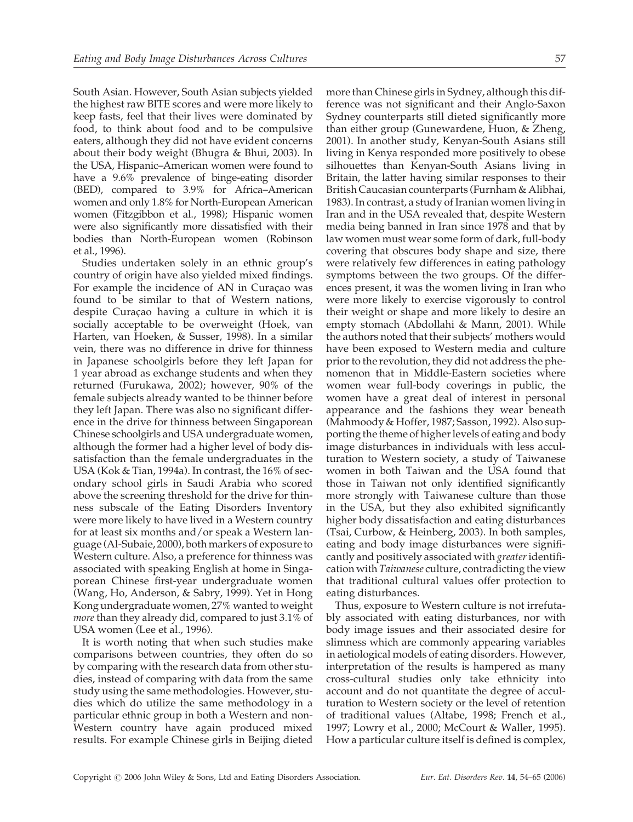South Asian. However, South Asian subjects yielded the highest raw BITE scores and were more likely to keep fasts, feel that their lives were dominated by food, to think about food and to be compulsive eaters, although they did not have evident concerns about their body weight (Bhugra & Bhui, 2003). In the USA, Hispanic–American women were found to have a 9.6% prevalence of binge-eating disorder (BED), compared to 3.9% for Africa–American women and only 1.8% for North-European American women (Fitzgibbon et al., 1998); Hispanic women were also significantly more dissatisfied with their bodies than North-European women (Robinson et al., 1996).

Studies undertaken solely in an ethnic group's country of origin have also yielded mixed findings. For example the incidence of AN in Curaçao was found to be similar to that of Western nations, despite Curaçao having a culture in which it is socially acceptable to be overweight (Hoek, van Harten, van Hoeken, & Susser, 1998). In a similar vein, there was no difference in drive for thinness in Japanese schoolgirls before they left Japan for 1 year abroad as exchange students and when they returned (Furukawa, 2002); however, 90% of the female subjects already wanted to be thinner before they left Japan. There was also no significant difference in the drive for thinness between Singaporean Chinese schoolgirls and USA undergraduate women, although the former had a higher level of body dissatisfaction than the female undergraduates in the USA (Kok & Tian, 1994a). In contrast, the 16% of secondary school girls in Saudi Arabia who scored above the screening threshold for the drive for thinness subscale of the Eating Disorders Inventory were more likely to have lived in a Western country for at least six months and/or speak a Western language (Al-Subaie, 2000), both markers of exposure to Western culture. Also, a preference for thinness was associated with speaking English at home in Singaporean Chinese first-year undergraduate women (Wang, Ho, Anderson, & Sabry, 1999). Yet in Hong Kong undergraduate women, 27% wanted to weight more than they already did, compared to just 3.1% of USA women (Lee et al., 1996).

It is worth noting that when such studies make comparisons between countries, they often do so by comparing with the research data from other studies, instead of comparing with data from the same study using the same methodologies. However, studies which do utilize the same methodology in a particular ethnic group in both a Western and non-Western country have again produced mixed results. For example Chinese girls in Beijing dieted

more than Chinese girls in Sydney, although this difference was not significant and their Anglo-Saxon Sydney counterparts still dieted significantly more than either group (Gunewardene, Huon, & Zheng, 2001). In another study, Kenyan-South Asians still living in Kenya responded more positively to obese silhouettes than Kenyan-South Asians living in Britain, the latter having similar responses to their British Caucasian counterparts (Furnham & Alibhai, 1983). In contrast, a study of Iranian women living in Iran and in the USA revealed that, despite Western media being banned in Iran since 1978 and that by law women must wear some form of dark, full-body covering that obscures body shape and size, there were relatively few differences in eating pathology symptoms between the two groups. Of the differences present, it was the women living in Iran who were more likely to exercise vigorously to control their weight or shape and more likely to desire an empty stomach (Abdollahi & Mann, 2001). While the authors noted that their subjects' mothers would have been exposed to Western media and culture prior to the revolution, they did not address the phenomenon that in Middle-Eastern societies where women wear full-body coverings in public, the women have a great deal of interest in personal appearance and the fashions they wear beneath (Mahmoody & Hoffer, 1987; Sasson, 1992). Also supporting the theme of higher levels of eating and body image disturbances in individuals with less acculturation to Western society, a study of Taiwanese women in both Taiwan and the USA found that those in Taiwan not only identified significantly more strongly with Taiwanese culture than those in the USA, but they also exhibited significantly higher body dissatisfaction and eating disturbances (Tsai, Curbow, & Heinberg, 2003). In both samples, eating and body image disturbances were significantly and positively associated with greater identification with Taiwanese culture, contradicting the view that traditional cultural values offer protection to eating disturbances.

Thus, exposure to Western culture is not irrefutably associated with eating disturbances, nor with body image issues and their associated desire for slimness which are commonly appearing variables in aetiological models of eating disorders. However, interpretation of the results is hampered as many cross-cultural studies only take ethnicity into account and do not quantitate the degree of acculturation to Western society or the level of retention of traditional values (Altabe, 1998; French et al., 1997; Lowry et al., 2000; McCourt & Waller, 1995). How a particular culture itself is defined is complex,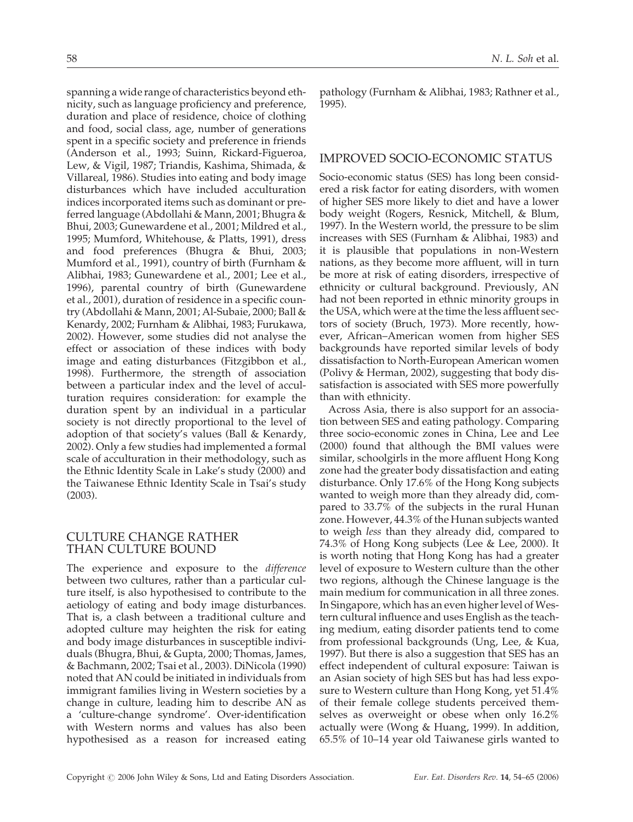spanning a wide range of characteristics beyond ethnicity, such as language proficiency and preference, duration and place of residence, choice of clothing and food, social class, age, number of generations spent in a specific society and preference in friends (Anderson et al., 1993; Suinn, Rickard-Figueroa, Lew, & Vigil, 1987; Triandis, Kashima, Shimada, & Villareal, 1986). Studies into eating and body image disturbances which have included acculturation indices incorporated items such as dominant or preferred language (Abdollahi & Mann, 2001; Bhugra & Bhui, 2003; Gunewardene et al., 2001; Mildred et al., 1995; Mumford, Whitehouse, & Platts, 1991), dress and food preferences (Bhugra & Bhui, 2003; Mumford et al., 1991), country of birth (Furnham & Alibhai, 1983; Gunewardene et al., 2001; Lee et al., 1996), parental country of birth (Gunewardene et al., 2001), duration of residence in a specific country (Abdollahi & Mann, 2001; Al-Subaie, 2000; Ball & Kenardy, 2002; Furnham & Alibhai, 1983; Furukawa, 2002). However, some studies did not analyse the effect or association of these indices with body image and eating disturbances (Fitzgibbon et al., 1998). Furthermore, the strength of association between a particular index and the level of acculturation requires consideration: for example the duration spent by an individual in a particular society is not directly proportional to the level of adoption of that society's values (Ball & Kenardy, 2002). Only a few studies had implemented a formal scale of acculturation in their methodology, such as the Ethnic Identity Scale in Lake's study (2000) and the Taiwanese Ethnic Identity Scale in Tsai's study (2003).

## CULTURE CHANGE RATHER THAN CULTURE BOUND

The experience and exposure to the *difference* between two cultures, rather than a particular culture itself, is also hypothesised to contribute to the aetiology of eating and body image disturbances. That is, a clash between a traditional culture and adopted culture may heighten the risk for eating and body image disturbances in susceptible individuals (Bhugra, Bhui, & Gupta, 2000; Thomas, James, & Bachmann, 2002; Tsai et al., 2003). DiNicola (1990) noted that AN could be initiated in individuals from immigrant families living in Western societies by a change in culture, leading him to describe AN as a 'culture-change syndrome'. Over-identification with Western norms and values has also been hypothesised as a reason for increased eating

pathology (Furnham & Alibhai, 1983; Rathner et al., 1995).

#### IMPROVED SOCIO-ECONOMIC STATUS

Socio-economic status (SES) has long been considered a risk factor for eating disorders, with women of higher SES more likely to diet and have a lower body weight (Rogers, Resnick, Mitchell, & Blum, 1997). In the Western world, the pressure to be slim increases with SES (Furnham & Alibhai, 1983) and it is plausible that populations in non-Western nations, as they become more affluent, will in turn be more at risk of eating disorders, irrespective of ethnicity or cultural background. Previously, AN had not been reported in ethnic minority groups in the USA, which were at the time the less affluent sectors of society (Bruch, 1973). More recently, however, African–American women from higher SES backgrounds have reported similar levels of body dissatisfaction to North-European American women (Polivy & Herman, 2002), suggesting that body dissatisfaction is associated with SES more powerfully than with ethnicity.

Across Asia, there is also support for an association between SES and eating pathology. Comparing three socio-economic zones in China, Lee and Lee (2000) found that although the BMI values were similar, schoolgirls in the more affluent Hong Kong zone had the greater body dissatisfaction and eating disturbance. Only 17.6% of the Hong Kong subjects wanted to weigh more than they already did, compared to 33.7% of the subjects in the rural Hunan zone. However, 44.3% of the Hunan subjects wanted to weigh less than they already did, compared to 74.3% of Hong Kong subjects (Lee & Lee, 2000). It is worth noting that Hong Kong has had a greater level of exposure to Western culture than the other two regions, although the Chinese language is the main medium for communication in all three zones. In Singapore, which has an even higher level of Western cultural influence and uses English as the teaching medium, eating disorder patients tend to come from professional backgrounds (Ung, Lee, & Kua, 1997). But there is also a suggestion that SES has an effect independent of cultural exposure: Taiwan is an Asian society of high SES but has had less exposure to Western culture than Hong Kong, yet 51.4% of their female college students perceived themselves as overweight or obese when only 16.2% actually were (Wong & Huang, 1999). In addition, 65.5% of 10–14 year old Taiwanese girls wanted to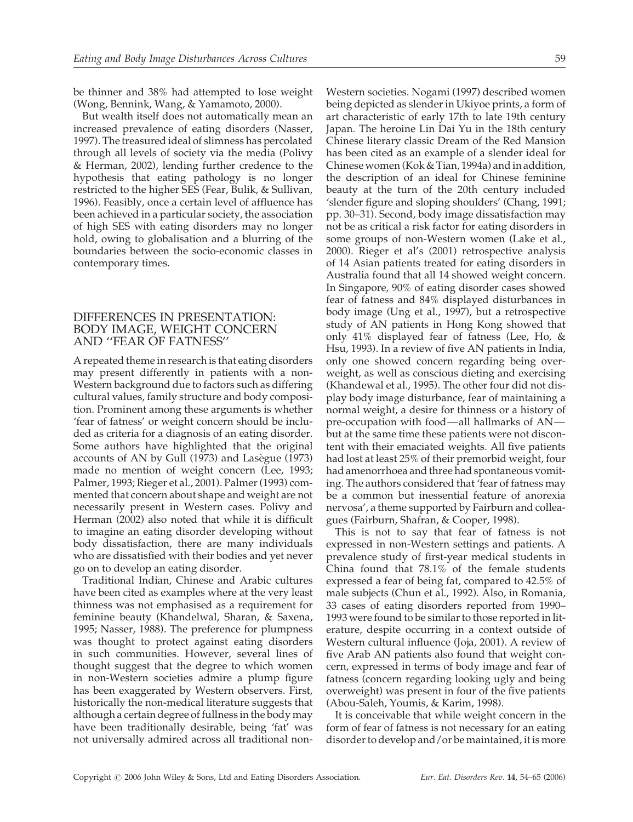be thinner and 38% had attempted to lose weight (Wong, Bennink, Wang, & Yamamoto, 2000).

But wealth itself does not automatically mean an increased prevalence of eating disorders (Nasser, 1997). The treasured ideal of slimness has percolated through all levels of society via the media (Polivy & Herman, 2002), lending further credence to the hypothesis that eating pathology is no longer restricted to the higher SES (Fear, Bulik, & Sullivan, 1996). Feasibly, once a certain level of affluence has been achieved in a particular society, the association of high SES with eating disorders may no longer hold, owing to globalisation and a blurring of the boundaries between the socio-economic classes in contemporary times.

#### DIFFERENCES IN PRESENTATION: BODY IMAGE, WEIGHT CONCERN AND ''FEAR OF FATNESS''

A repeated theme in research is that eating disorders may present differently in patients with a non-Western background due to factors such as differing cultural values, family structure and body composition. Prominent among these arguments is whether 'fear of fatness' or weight concern should be included as criteria for a diagnosis of an eating disorder. Some authors have highlighted that the original accounts of AN by Gull (1973) and Lasègue (1973) made no mention of weight concern (Lee, 1993; Palmer, 1993; Rieger et al., 2001). Palmer (1993) commented that concern about shape and weight are not necessarily present in Western cases. Polivy and Herman (2002) also noted that while it is difficult to imagine an eating disorder developing without body dissatisfaction, there are many individuals who are dissatisfied with their bodies and yet never go on to develop an eating disorder.

Traditional Indian, Chinese and Arabic cultures have been cited as examples where at the very least thinness was not emphasised as a requirement for feminine beauty (Khandelwal, Sharan, & Saxena, 1995; Nasser, 1988). The preference for plumpness was thought to protect against eating disorders in such communities. However, several lines of thought suggest that the degree to which women in non-Western societies admire a plump figure has been exaggerated by Western observers. First, historically the non-medical literature suggests that although a certain degree of fullness in the body may have been traditionally desirable, being 'fat' was not universally admired across all traditional non-

Western societies. Nogami (1997) described women being depicted as slender in Ukiyoe prints, a form of art characteristic of early 17th to late 19th century Japan. The heroine Lin Dai Yu in the 18th century Chinese literary classic Dream of the Red Mansion has been cited as an example of a slender ideal for Chinese women (Kok & Tian, 1994a) and in addition, the description of an ideal for Chinese feminine beauty at the turn of the 20th century included 'slender figure and sloping shoulders' (Chang, 1991; pp. 30–31). Second, body image dissatisfaction may not be as critical a risk factor for eating disorders in some groups of non-Western women (Lake et al., 2000). Rieger et al's (2001) retrospective analysis of 14 Asian patients treated for eating disorders in Australia found that all 14 showed weight concern. In Singapore, 90% of eating disorder cases showed fear of fatness and 84% displayed disturbances in body image (Ung et al., 1997), but a retrospective study of AN patients in Hong Kong showed that only 41% displayed fear of fatness (Lee, Ho, & Hsu, 1993). In a review of five AN patients in India, only one showed concern regarding being overweight, as well as conscious dieting and exercising (Khandewal et al., 1995). The other four did not display body image disturbance, fear of maintaining a normal weight, a desire for thinness or a history of pre-occupation with food—all hallmarks of AN but at the same time these patients were not discontent with their emaciated weights. All five patients had lost at least 25% of their premorbid weight, four had amenorrhoea and three had spontaneous vomiting. The authors considered that 'fear of fatness may be a common but inessential feature of anorexia nervosa', a theme supported by Fairburn and collea-

gues (Fairburn, Shafran, & Cooper, 1998). This is not to say that fear of fatness is not expressed in non-Western settings and patients. A prevalence study of first-year medical students in China found that 78.1% of the female students expressed a fear of being fat, compared to 42.5% of male subjects (Chun et al., 1992). Also, in Romania, 33 cases of eating disorders reported from 1990– 1993 were found to be similar to those reported in literature, despite occurring in a context outside of Western cultural influence (Joja, 2001). A review of five Arab AN patients also found that weight concern, expressed in terms of body image and fear of fatness (concern regarding looking ugly and being overweight) was present in four of the five patients (Abou-Saleh, Youmis, & Karim, 1998).

It is conceivable that while weight concern in the form of fear of fatness is not necessary for an eating disorder to develop and/or be maintained, it is more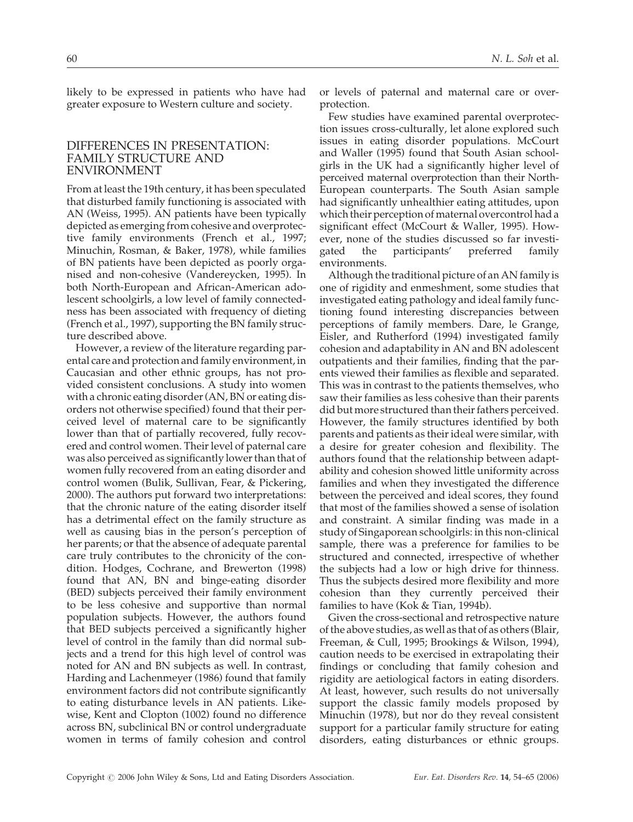likely to be expressed in patients who have had greater exposure to Western culture and society.

#### DIFFERENCES IN PRESENTATION: FAMILY STRUCTURE AND ENVIRONMENT

From at least the 19th century, it has been speculated that disturbed family functioning is associated with AN (Weiss, 1995). AN patients have been typically depicted as emerging from cohesive and overprotective family environments (French et al., 1997; Minuchin, Rosman, & Baker, 1978), while families of BN patients have been depicted as poorly organised and non-cohesive (Vandereycken, 1995). In both North-European and African-American adolescent schoolgirls, a low level of family connectedness has been associated with frequency of dieting (French et al., 1997), supporting the BN family structure described above.

However, a review of the literature regarding parental care and protection and family environment, in Caucasian and other ethnic groups, has not provided consistent conclusions. A study into women with a chronic eating disorder (AN, BN or eating disorders not otherwise specified) found that their perceived level of maternal care to be significantly lower than that of partially recovered, fully recovered and control women. Their level of paternal care was also perceived as significantly lower than that of women fully recovered from an eating disorder and control women (Bulik, Sullivan, Fear, & Pickering, 2000). The authors put forward two interpretations: that the chronic nature of the eating disorder itself has a detrimental effect on the family structure as well as causing bias in the person's perception of her parents; or that the absence of adequate parental care truly contributes to the chronicity of the condition. Hodges, Cochrane, and Brewerton (1998) found that AN, BN and binge-eating disorder (BED) subjects perceived their family environment to be less cohesive and supportive than normal population subjects. However, the authors found that BED subjects perceived a significantly higher level of control in the family than did normal subjects and a trend for this high level of control was noted for AN and BN subjects as well. In contrast, Harding and Lachenmeyer (1986) found that family environment factors did not contribute significantly to eating disturbance levels in AN patients. Likewise, Kent and Clopton (1002) found no difference across BN, subclinical BN or control undergraduate women in terms of family cohesion and control

or levels of paternal and maternal care or overprotection.

Few studies have examined parental overprotection issues cross-culturally, let alone explored such issues in eating disorder populations. McCourt and Waller (1995) found that South Asian schoolgirls in the UK had a significantly higher level of perceived maternal overprotection than their North-European counterparts. The South Asian sample had significantly unhealthier eating attitudes, upon which their perception of maternal overcontrol had a significant effect (McCourt & Waller, 1995). However, none of the studies discussed so far investigated the participants' preferred family environments.

Although the traditional picture of an AN family is one of rigidity and enmeshment, some studies that investigated eating pathology and ideal family functioning found interesting discrepancies between perceptions of family members. Dare, le Grange, Eisler, and Rutherford (1994) investigated family cohesion and adaptability in AN and BN adolescent outpatients and their families, finding that the parents viewed their families as flexible and separated. This was in contrast to the patients themselves, who saw their families as less cohesive than their parents did but more structured than their fathers perceived. However, the family structures identified by both parents and patients as their ideal were similar, with a desire for greater cohesion and flexibility. The authors found that the relationship between adaptability and cohesion showed little uniformity across families and when they investigated the difference between the perceived and ideal scores, they found that most of the families showed a sense of isolation and constraint. A similar finding was made in a study of Singaporean schoolgirls: in this non-clinical sample, there was a preference for families to be structured and connected, irrespective of whether the subjects had a low or high drive for thinness. Thus the subjects desired more flexibility and more cohesion than they currently perceived their families to have (Kok & Tian, 1994b).

Given the cross-sectional and retrospective nature of the above studies, as well as that of as others (Blair, Freeman, & Cull, 1995; Brookings & Wilson, 1994), caution needs to be exercised in extrapolating their findings or concluding that family cohesion and rigidity are aetiological factors in eating disorders. At least, however, such results do not universally support the classic family models proposed by Minuchin (1978), but nor do they reveal consistent support for a particular family structure for eating disorders, eating disturbances or ethnic groups.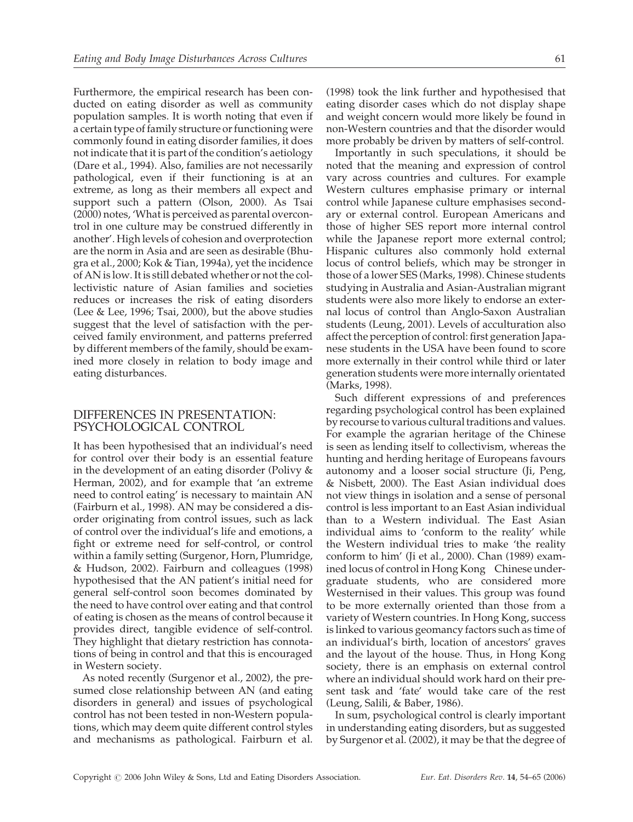Furthermore, the empirical research has been conducted on eating disorder as well as community population samples. It is worth noting that even if a certain type of family structure or functioning were commonly found in eating disorder families, it does not indicate that it is part of the condition's aetiology (Dare et al., 1994). Also, families are not necessarily pathological, even if their functioning is at an extreme, as long as their members all expect and support such a pattern (Olson, 2000). As Tsai (2000) notes, 'What is perceived as parental overcontrol in one culture may be construed differently in another'. High levels of cohesion and overprotection are the norm in Asia and are seen as desirable (Bhugra et al., 2000; Kok & Tian, 1994a), yet the incidence of AN is low. It is still debated whether or not the collectivistic nature of Asian families and societies reduces or increases the risk of eating disorders (Lee & Lee, 1996; Tsai, 2000), but the above studies suggest that the level of satisfaction with the perceived family environment, and patterns preferred by different members of the family, should be examined more closely in relation to body image and eating disturbances.

#### DIFFERENCES IN PRESENTATION: PSYCHOLOGICAL CONTROL

It has been hypothesised that an individual's need for control over their body is an essential feature in the development of an eating disorder (Polivy & Herman, 2002), and for example that 'an extreme need to control eating' is necessary to maintain AN (Fairburn et al., 1998). AN may be considered a disorder originating from control issues, such as lack of control over the individual's life and emotions, a fight or extreme need for self-control, or control within a family setting (Surgenor, Horn, Plumridge, & Hudson, 2002). Fairburn and colleagues (1998) hypothesised that the AN patient's initial need for general self-control soon becomes dominated by the need to have control over eating and that control of eating is chosen as the means of control because it provides direct, tangible evidence of self-control. They highlight that dietary restriction has connotations of being in control and that this is encouraged in Western society.

As noted recently (Surgenor et al., 2002), the presumed close relationship between AN (and eating disorders in general) and issues of psychological control has not been tested in non-Western populations, which may deem quite different control styles and mechanisms as pathological. Fairburn et al.

(1998) took the link further and hypothesised that eating disorder cases which do not display shape and weight concern would more likely be found in non-Western countries and that the disorder would more probably be driven by matters of self-control.

Importantly in such speculations, it should be noted that the meaning and expression of control vary across countries and cultures. For example Western cultures emphasise primary or internal control while Japanese culture emphasises secondary or external control. European Americans and those of higher SES report more internal control while the Japanese report more external control; Hispanic cultures also commonly hold external locus of control beliefs, which may be stronger in those of a lower SES (Marks, 1998). Chinese students studying in Australia and Asian-Australian migrant students were also more likely to endorse an external locus of control than Anglo-Saxon Australian students (Leung, 2001). Levels of acculturation also affect the perception of control: first generation Japanese students in the USA have been found to score more externally in their control while third or later generation students were more internally orientated (Marks, 1998).

Such different expressions of and preferences regarding psychological control has been explained by recourse to various cultural traditions and values. For example the agrarian heritage of the Chinese is seen as lending itself to collectivism, whereas the hunting and herding heritage of Europeans favours autonomy and a looser social structure (Ji, Peng, & Nisbett, 2000). The East Asian individual does not view things in isolation and a sense of personal control is less important to an East Asian individual than to a Western individual. The East Asian individual aims to 'conform to the reality' while the Western individual tries to make 'the reality conform to him' (Ji et al., 2000). Chan (1989) examined locus of control in Hong Kong Chinese undergraduate students, who are considered more Westernised in their values. This group was found to be more externally oriented than those from a variety of Western countries. In Hong Kong, success is linked to various geomancy factors such as time of an individual's birth, location of ancestors' graves and the layout of the house. Thus, in Hong Kong society, there is an emphasis on external control where an individual should work hard on their present task and 'fate' would take care of the rest (Leung, Salili, & Baber, 1986).

In sum, psychological control is clearly important in understanding eating disorders, but as suggested by Surgenor et al. (2002), it may be that the degree of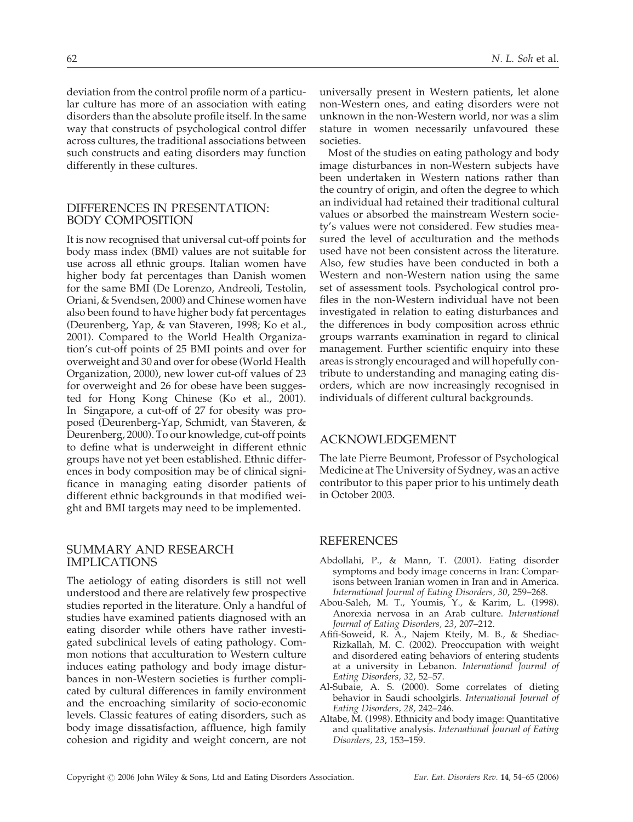deviation from the control profile norm of a particular culture has more of an association with eating disorders than the absolute profile itself. In the same way that constructs of psychological control differ across cultures, the traditional associations between such constructs and eating disorders may function differently in these cultures.

#### DIFFERENCES IN PRESENTATION: BODY COMPOSITION

It is now recognised that universal cut-off points for body mass index (BMI) values are not suitable for use across all ethnic groups. Italian women have higher body fat percentages than Danish women for the same BMI (De Lorenzo, Andreoli, Testolin, Oriani, & Svendsen, 2000) and Chinese women have also been found to have higher body fat percentages (Deurenberg, Yap, & van Staveren, 1998; Ko et al., 2001). Compared to the World Health Organization's cut-off points of 25 BMI points and over for overweight and 30 and over for obese (World Health Organization, 2000), new lower cut-off values of 23 for overweight and 26 for obese have been suggested for Hong Kong Chinese (Ko et al., 2001). In Singapore, a cut-off of 27 for obesity was proposed (Deurenberg-Yap, Schmidt, van Staveren, & Deurenberg, 2000). To our knowledge, cut-off points to define what is underweight in different ethnic groups have not yet been established. Ethnic differences in body composition may be of clinical significance in managing eating disorder patients of different ethnic backgrounds in that modified weight and BMI targets may need to be implemented.

#### SUMMARY AND RESEARCH IMPLICATIONS

The aetiology of eating disorders is still not well understood and there are relatively few prospective studies reported in the literature. Only a handful of studies have examined patients diagnosed with an eating disorder while others have rather investigated subclinical levels of eating pathology. Common notions that acculturation to Western culture induces eating pathology and body image disturbances in non-Western societies is further complicated by cultural differences in family environment and the encroaching similarity of socio-economic levels. Classic features of eating disorders, such as body image dissatisfaction, affluence, high family cohesion and rigidity and weight concern, are not

universally present in Western patients, let alone non-Western ones, and eating disorders were not unknown in the non-Western world, nor was a slim stature in women necessarily unfavoured these societies.

Most of the studies on eating pathology and body image disturbances in non-Western subjects have been undertaken in Western nations rather than the country of origin, and often the degree to which an individual had retained their traditional cultural values or absorbed the mainstream Western society's values were not considered. Few studies measured the level of acculturation and the methods used have not been consistent across the literature. Also, few studies have been conducted in both a Western and non-Western nation using the same set of assessment tools. Psychological control profiles in the non-Western individual have not been investigated in relation to eating disturbances and the differences in body composition across ethnic groups warrants examination in regard to clinical management. Further scientific enquiry into these areas is strongly encouraged and will hopefully contribute to understanding and managing eating disorders, which are now increasingly recognised in individuals of different cultural backgrounds.

#### ACKNOWLEDGEMENT

The late Pierre Beumont, Professor of Psychological Medicine at The University of Sydney, was an active contributor to this paper prior to his untimely death in October 2003.

#### REFERENCES

- Abdollahi, P., & Mann, T. (2001). Eating disorder symptoms and body image concerns in Iran: Comparisons between Iranian women in Iran and in America. International Journal of Eating Disorders, 30, 259–268.
- Abou-Saleh, M. T., Youmis, Y., & Karim, L. (1998). Anorexia nervosa in an Arab culture. International Journal of Eating Disorders, 23, 207–212.
- Afifi-Soweid, R. A., Najem Kteily, M. B., & Shediac-Rizkallah, M. C. (2002). Preoccupation with weight and disordered eating behaviors of entering students at a university in Lebanon. International Journal of Eating Disorders, 32, 52–57.
- Al-Subaie, A. S. (2000). Some correlates of dieting behavior in Saudi schoolgirls. International Journal of Eating Disorders, 28, 242–246.
- Altabe, M. (1998). Ethnicity and body image: Quantitative and qualitative analysis. International Journal of Eating Disorders, 23, 153–159.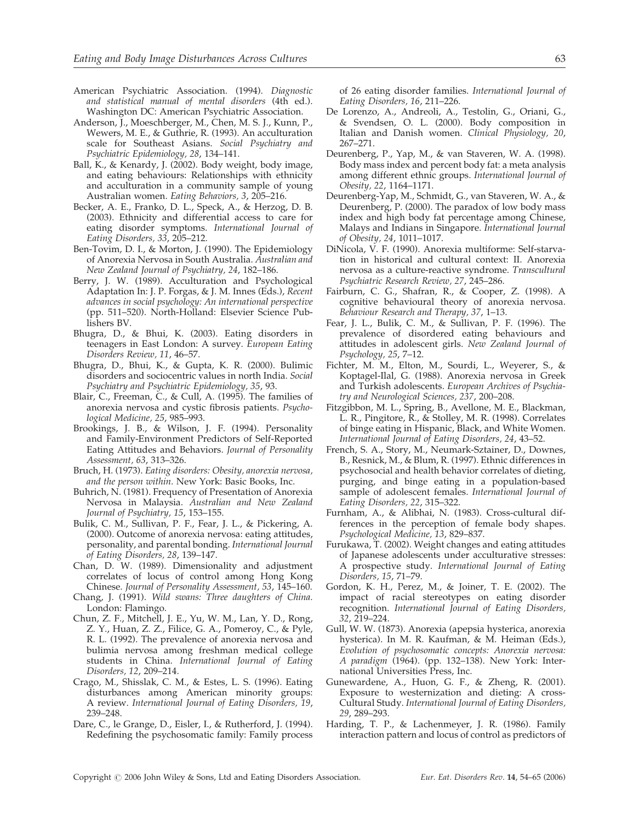- American Psychiatric Association. (1994). Diagnostic and statistical manual of mental disorders (4th ed.). Washington DC: American Psychiatric Association.
- Anderson, J., Moeschberger, M., Chen, M. S. J., Kunn, P., Wewers, M. E., & Guthrie, R. (1993). An acculturation scale for Southeast Asians. Social Psychiatry and Psychiatric Epidemiology, 28, 134–141.
- Ball, K., & Kenardy, J. (2002). Body weight, body image, and eating behaviours: Relationships with ethnicity and acculturation in a community sample of young Australian women. Eating Behaviors, 3, 205–216.
- Becker, A. E., Franko, D. L., Speck, A., & Herzog, D. B. (2003). Ethnicity and differential access to care for eating disorder symptoms. International Journal of Eating Disorders, 33, 205–212.
- Ben-Tovim, D. I., & Morton, J. (1990). The Epidemiology of Anorexia Nervosa in South Australia. Australian and New Zealand Journal of Psychiatry, 24, 182–186.
- Berry, J. W. (1989). Acculturation and Psychological Adaptation In: J. P. Forgas, & J. M. Innes (Eds.), Recent advances in social psychology: An international perspective (pp. 511–520). North-Holland: Elsevier Science Publishers BV.
- Bhugra, D., & Bhui, K. (2003). Eating disorders in teenagers in East London: A survey. European Eating Disorders Review, 11, 46–57.
- Bhugra, D., Bhui, K., & Gupta, K. R. (2000). Bulimic disorders and sociocentric values in north India. Social Psychiatry and Psychiatric Epidemiology, 35, 93.
- Blair, C., Freeman, C., & Cull, A. (1995). The families of anorexia nervosa and cystic fibrosis patients. Psychological Medicine, 25, 985–993.
- Brookings, J. B., & Wilson, J. F. (1994). Personality and Family-Environment Predictors of Self-Reported Eating Attitudes and Behaviors. Journal of Personality Assessment, 63, 313–326.
- Bruch, H. (1973). Eating disorders: Obesity, anorexia nervosa, and the person within. New York: Basic Books, Inc.
- Buhrich, N. (1981). Frequency of Presentation of Anorexia Nervosa in Malaysia. Australian and New Zealand Journal of Psychiatry, 15, 153–155.
- Bulik, C. M., Sullivan, P. F., Fear, J. L., & Pickering, A. (2000). Outcome of anorexia nervosa: eating attitudes, personality, and parental bonding. International Journal of Eating Disorders, 28, 139–147.
- Chan, D. W. (1989). Dimensionality and adjustment correlates of locus of control among Hong Kong Chinese. Journal of Personality Assessment, 53, 145–160.
- Chang, J. (1991). Wild swans: Three daughters of China. London: Flamingo.
- Chun, Z. F., Mitchell, J. E., Yu, W. M., Lan, Y. D., Rong, Z. Y., Huan, Z. Z., Filice, G. A., Pomeroy, C., & Pyle, R. L. (1992). The prevalence of anorexia nervosa and bulimia nervosa among freshman medical college students in China. International Journal of Eating Disorders, 12, 209–214.
- Crago, M., Shisslak, C. M., & Estes, L. S. (1996). Eating disturbances among American minority groups: A review. International Journal of Eating Disorders, 19, 239–248.
- Dare, C., le Grange, D., Eisler, I., & Rutherford, J. (1994). Redefining the psychosomatic family: Family process

of 26 eating disorder families. International Journal of Eating Disorders, 16, 211–226.

- De Lorenzo, A., Andreoli, A., Testolin, G., Oriani, G., & Svendsen, O. L. (2000). Body composition in Italian and Danish women. Clinical Physiology, 20, 267–271.
- Deurenberg, P., Yap, M., & van Staveren, W. A. (1998). Body mass index and percent body fat: a meta analysis among different ethnic groups. International Journal of Obesity, 22, 1164–1171.
- Deurenberg-Yap, M., Schmidt, G., van Staveren, W. A., & Deurenberg, P. (2000). The paradox of low body mass index and high body fat percentage among Chinese, Malays and Indians in Singapore. International Journal of Obesity, 24, 1011–1017.
- DiNicola, V. F. (1990). Anorexia multiforme: Self-starvation in historical and cultural context: II. Anorexia nervosa as a culture-reactive syndrome. Transcultural Psychiatric Research Review, 27, 245–286.
- Fairburn, C. G., Shafran, R., & Cooper, Z. (1998). A cognitive behavioural theory of anorexia nervosa. Behaviour Research and Therapy, 37, 1–13.
- Fear, J. L., Bulik, C. M., & Sullivan, P. F. (1996). The prevalence of disordered eating behaviours and attitudes in adolescent girls. New Zealand Journal of Psychology, 25, 7–12.
- Fichter, M. M., Elton, M., Sourdi, L., Weyerer, S., & Koptagel-Ilal, G. (1988). Anorexia nervosa in Greek and Turkish adolescents. European Archives of Psychiatry and Neurological Sciences, 237, 200–208.
- Fitzgibbon, M. L., Spring, B., Avellone, M. E., Blackman, L. R., Pingitore, R., & Stolley, M. R. (1998). Correlates of binge eating in Hispanic, Black, and White Women. International Journal of Eating Disorders, 24, 43–52.
- French, S. A., Story, M., Neumark-Sztainer, D., Downes, B., Resnick, M., & Blum, R. (1997). Ethnic differences in psychosocial and health behavior correlates of dieting, purging, and binge eating in a population-based sample of adolescent females. International Journal of Eating Disorders, 22, 315–322.
- Furnham, A., & Alibhai, N. (1983). Cross-cultural differences in the perception of female body shapes. Psychological Medicine, 13, 829–837.
- Furukawa, T. (2002). Weight changes and eating attitudes of Japanese adolescents under acculturative stresses: A prospective study. International Journal of Eating Disorders, 15, 71–79.
- Gordon, K. H., Perez, M., & Joiner, T. E. (2002). The impact of racial stereotypes on eating disorder recognition. International Journal of Eating Disorders, 32, 219–224.
- Gull, W. W. (1873). Anorexia (apepsia hysterica, anorexia hysterica). In M. R. Kaufman, & M. Heiman (Eds.), Evolution of psychosomatic concepts: Anorexia nervosa: A paradigm (1964). (pp. 132–138). New York: International Universities Press, Inc.
- Gunewardene, A., Huon, G. F., & Zheng, R. (2001). Exposure to westernization and dieting: A cross-Cultural Study. International Journal of Eating Disorders, 29, 289–293.
- Harding, T. P., & Lachenmeyer, J. R. (1986). Family interaction pattern and locus of control as predictors of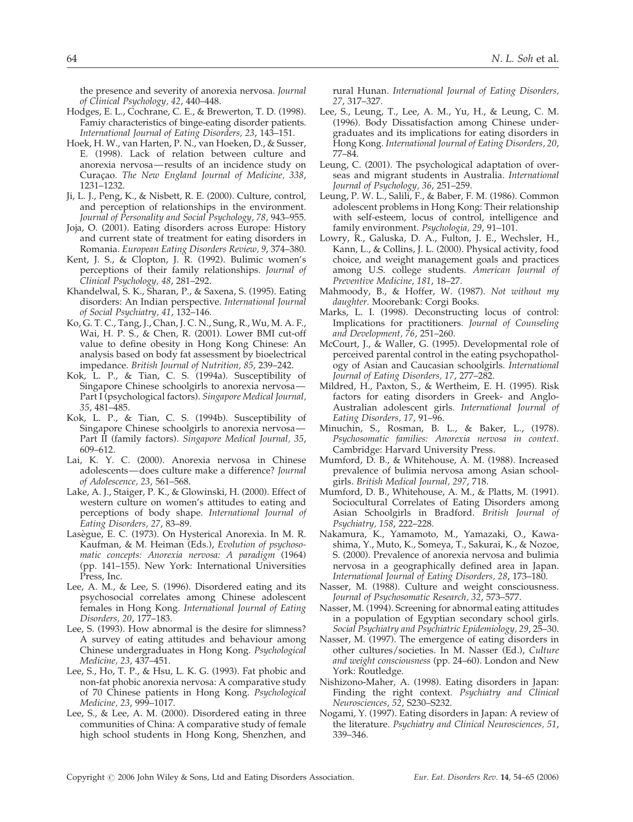the presence and severity of anorexia nervosa. Journal of Clinical Psychology, 42, 440–448.

- Hodges, E. L., Cochrane, C. E., & Brewerton, T. D. (1998). Famiy characteristics of binge-eating disorder patients. International Journal of Eating Disorders, 23, 143–151.
- Hoek, H. W., van Harten, P. N., van Hoeken, D., & Susser, E. (1998). Lack of relation between culture and anorexia nervosa—results of an incidence study on Curaçao. The New England Journal of Medicine, 338, 1231–1232.
- Ji, L. J., Peng, K., & Nisbett, R. E. (2000). Culture, control, and perception of relationships in the environment. Journal of Personality and Social Psychology, 78, 943–955.
- Joja, O. (2001). Eating disorders across Europe: History and current state of treatment for eating disorders in Romania. European Eating Disorders Review, 9, 374–380.
- Kent, J. S., & Clopton, J. R. (1992). Bulimic women's perceptions of their family relationships. Journal of Clinical Psychology, 48, 281–292.
- Khandelwal, S. K., Sharan, P., & Saxena, S. (1995). Eating disorders: An Indian perspective. International Journal of Social Psychiatry, 41, 132–146.
- Ko, G. T. C., Tang, J., Chan, J. C. N., Sung, R., Wu, M. A. F., Wai, H. P. S., & Chen, R. (2001). Lower BMI cut-off value to define obesity in Hong Kong Chinese: An analysis based on body fat assessment by bioelectrical impedance. British Journal of Nutrition, 85, 239–242.
- Kok, L. P., & Tian, C. S. (1994a). Susceptibility of Singapore Chinese schoolgirls to anorexia nervosa— Part I (psychological factors). Singapore Medical Journal, 35, 481–485.
- Kok, L. P., & Tian, C. S. (1994b). Susceptibility of Singapore Chinese schoolgirls to anorexia nervosa— Part II (family factors). Singapore Medical Journal, 35, 609–612.
- Lai, K. Y. C. (2000). Anorexia nervosa in Chinese adolescents—does culture make a difference? Journal of Adolescence, 23, 561–568.
- Lake, A. J., Staiger, P. K., & Glowinski, H. (2000). Effect of western culture on women's attitudes to eating and perceptions of body shape. International Journal of Eating Disorders, 27, 83–89.
- Lasègue, E. C. (1973). On Hysterical Anorexia. In M. R. Kaufman, & M. Heiman (Eds.), Evolution of psychosomatic concepts: Anorexia nervosa: A paradigm (1964) (pp. 141–155). New York: International Universities Press, Inc.
- Lee, A. M., & Lee, S. (1996). Disordered eating and its psychosocial correlates among Chinese adolescent females in Hong Kong. International Journal of Eating Disorders, 20, 177–183.
- Lee, S. (1993). How abnormal is the desire for slimness? A survey of eating attitudes and behaviour among Chinese undergraduates in Hong Kong. Psychological Medicine, 23, 437–451.
- Lee, S., Ho, T. P., & Hsu, L. K. G. (1993). Fat phobic and non-fat phobic anorexia nervosa: A comparative study of 70 Chinese patients in Hong Kong. Psychological Medicine, 23, 999-1017.
- Lee, S., & Lee, A. M. (2000). Disordered eating in three communities of China: A comparative study of female high school students in Hong Kong, Shenzhen, and

rural Hunan. International Journal of Eating Disorders, 27, 317–327.

- Lee, S., Leung, T., Lee, A. M., Yu, H., & Leung, C. M. (1996). Body Dissatisfaction among Chinese undergraduates and its implications for eating disorders in Hong Kong. International Journal of Eating Disorders, 20, 77–84.
- Leung, C. (2001). The psychological adaptation of overseas and migrant students in Australia. International Journal of Psychology, 36, 251–259.
- Leung, P. W. L., Salili, F., & Baber, F. M. (1986). Common adolescent problems in Hong Kong: Their relationship with self-esteem, locus of control, intelligence and family environment. Psychologia, 29, 91–101.
- Lowry, R., Galuska, D. A., Fulton, J. E., Wechsler, H., Kann, L., & Collins, J. L. (2000). Physical activity, food choice, and weight management goals and practices among U.S. college students. American Journal of Preventive Medicine, 181, 18–27.
- Mahmoody, B., & Hoffer, W. (1987). Not without my daughter. Moorebank: Corgi Books.
- Marks, L. I. (1998). Deconstructing locus of control: Implications for practitioners. Journal of Counseling and Development, 76, 251–260.
- McCourt, J., & Waller, G. (1995). Developmental role of perceived parental control in the eating psychopathology of Asian and Caucasian schoolgirls. International Journal of Eating Disorders, 17, 277-282.
- Mildred, H., Paxton, S., & Wertheim, E. H. (1995). Risk factors for eating disorders in Greek- and Anglo-Australian adolescent girls. International Journal of Eating Disorders, 17, 91–96.
- Minuchin, S., Rosman, B. L., & Baker, L., (1978). Psychosomatic families: Anorexia nervosa in context. Cambridge: Harvard University Press.
- Mumford, D. B., & Whitehouse, A. M. (1988). Increased prevalence of bulimia nervosa among Asian schoolgirls. British Medical Journal, 297, 718.
- Mumford, D. B., Whitehouse, A. M., & Platts, M. (1991). Sociocultural Correlates of Eating Disorders among Asian Schoolgirls in Bradford. British Journal of Psychiatry, 158, 222–228.
- Nakamura, K., Yamamoto, M., Yamazaki, O., Kawashima, Y., Muto, K., Someya, T., Sakurai, K., & Nozoe, S. (2000). Prevalence of anorexia nervosa and bulimia nervosa in a geographically defined area in Japan. International Journal of Eating Disorders, 28, 173–180.
- Nasser, M. (1988). Culture and weight consciousness. Journal of Psychosomatic Research, 32, 573–577.
- Nasser, M. (1994). Screening for abnormal eating attitudes in a population of Egyptian secondary school girls. Social Psychiatry and Psychiatric Epidemiology, 29, 25–30.
- Nasser, M. (1997). The emergence of eating disorders in other cultures/societies. In M. Nasser (Ed.), Culture and weight consciousness (pp. 24–60). London and New York: Routledge.
- Nishizono-Maher, A. (1998). Eating disorders in Japan: Finding the right context. Psychiatry and Clinical Neurosciences, 52, S230–S232.
- Nogami, Y. (1997). Eating disorders in Japan: A review of the literature. Psychiatry and Clinical Neurosciences, 51, 339–346.